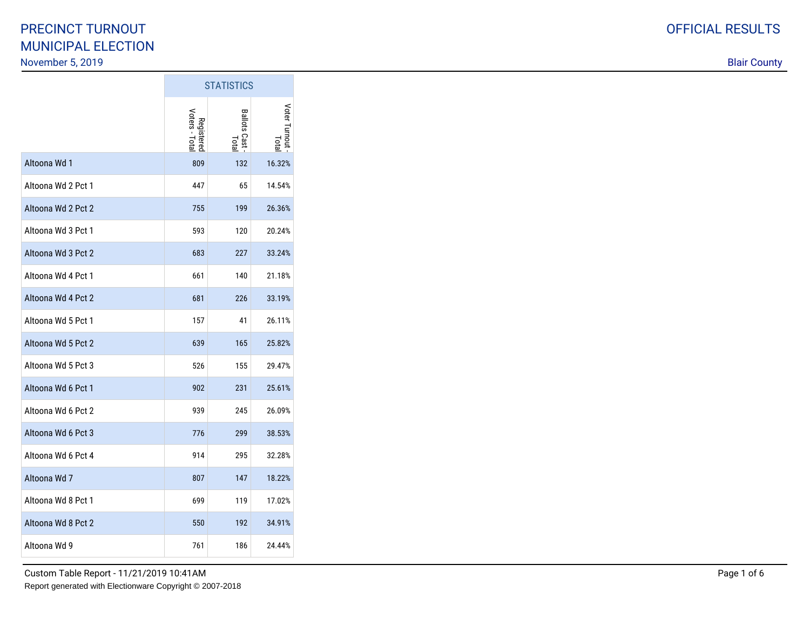|                    | <b>STATISTICS</b>            |                         |                       |
|--------------------|------------------------------|-------------------------|-----------------------|
|                    | Registered<br>Voters - Total | Ballots Cast -<br>Total | Voter Turnout<br>Lota |
| Altoona Wd 1       | 809                          | 132                     | 16.32%                |
| Altoona Wd 2 Pct 1 | 447                          | 65                      | 14.54%                |
| Altoona Wd 2 Pct 2 | 755                          | 199                     | 26.36%                |
| Altoona Wd 3 Pct 1 | 593                          | 120                     | 20.24%                |
| Altoona Wd 3 Pct 2 | 683                          | 227                     | 33.24%                |
| Altoona Wd 4 Pct 1 | 661                          | 140                     | 21.18%                |
| Altoona Wd 4 Pct 2 | 681                          | 226                     | 33.19%                |
| Altoona Wd 5 Pct 1 | 157                          | 41                      | 26.11%                |
| Altoona Wd 5 Pct 2 | 639                          | 165                     | 25.82%                |
| Altoona Wd 5 Pct 3 | 526                          | 155                     | 29.47%                |
| Altoona Wd 6 Pct 1 | 902                          | 231                     | 25.61%                |
| Altoona Wd 6 Pct 2 | 939                          | 245                     | 26.09%                |
| Altoona Wd 6 Pct 3 | 776                          | 299                     | 38.53%                |
| Altoona Wd 6 Pct 4 | 914                          | 295                     | 32.28%                |
| Altoona Wd 7       | 807                          | 147                     | 18.22%                |
| Altoona Wd 8 Pct 1 | 699                          | 119                     | 17.02%                |
| Altoona Wd 8 Pct 2 | 550                          | 192                     | 34.91%                |
| Altoona Wd 9       | 761                          | 186                     | 24.44%                |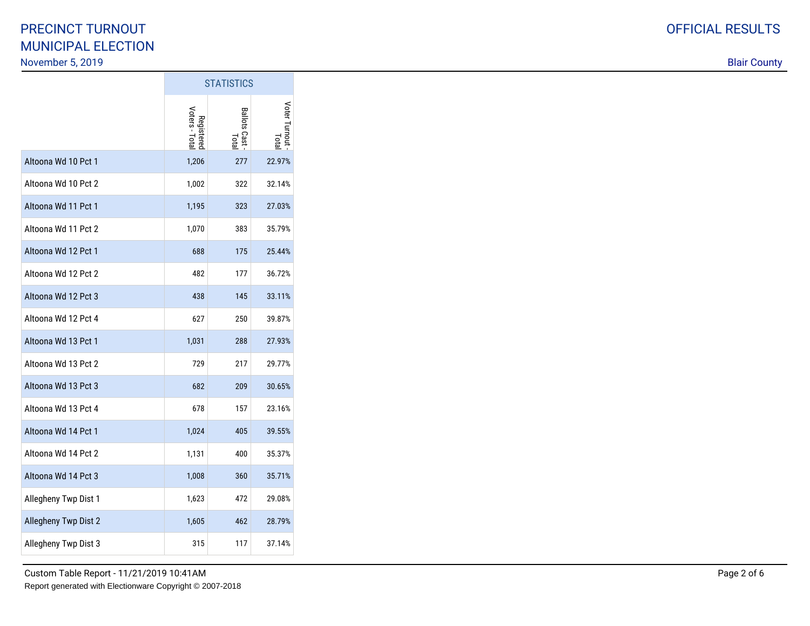|                      | <b>STATISTICS</b>            |                         |                       |
|----------------------|------------------------------|-------------------------|-----------------------|
|                      | Registered<br>Voters - Total | Ballots Cast -<br>Total | Voter Turnout<br>Lota |
| Altoona Wd 10 Pct 1  | 1,206                        | 277                     | 22.97%                |
| Altoona Wd 10 Pct 2  | 1,002                        | 322                     | 32.14%                |
| Altoona Wd 11 Pct 1  | 1,195                        | 323                     | 27.03%                |
| Altoona Wd 11 Pct 2  | 1,070                        | 383                     | 35.79%                |
| Altoona Wd 12 Pct 1  | 688                          | 175                     | 25.44%                |
| Altoona Wd 12 Pct 2  | 482                          | 177                     | 36.72%                |
| Altoona Wd 12 Pct 3  | 438                          | 145                     | 33.11%                |
| Altoona Wd 12 Pct 4  | 627                          | 250                     | 39.87%                |
| Altoona Wd 13 Pct 1  | 1,031                        | 288                     | 27.93%                |
| Altoona Wd 13 Pct 2  | 729                          | 217                     | 29.77%                |
| Altoona Wd 13 Pct 3  | 682                          | 209                     | 30.65%                |
| Altoona Wd 13 Pct 4  | 678                          | 157                     | 23.16%                |
| Altoona Wd 14 Pct 1  | 1,024                        | 405                     | 39.55%                |
| Altoona Wd 14 Pct 2  | 1,131                        | 400                     | 35.37%                |
| Altoona Wd 14 Pct 3  | 1,008                        | 360                     | 35.71%                |
| Allegheny Twp Dist 1 | 1,623                        | 472                     | 29.08%                |
| Allegheny Twp Dist 2 | 1,605                        | 462                     | 28.79%                |
| Allegheny Twp Dist 3 | 315                          | 117                     | 37.14%                |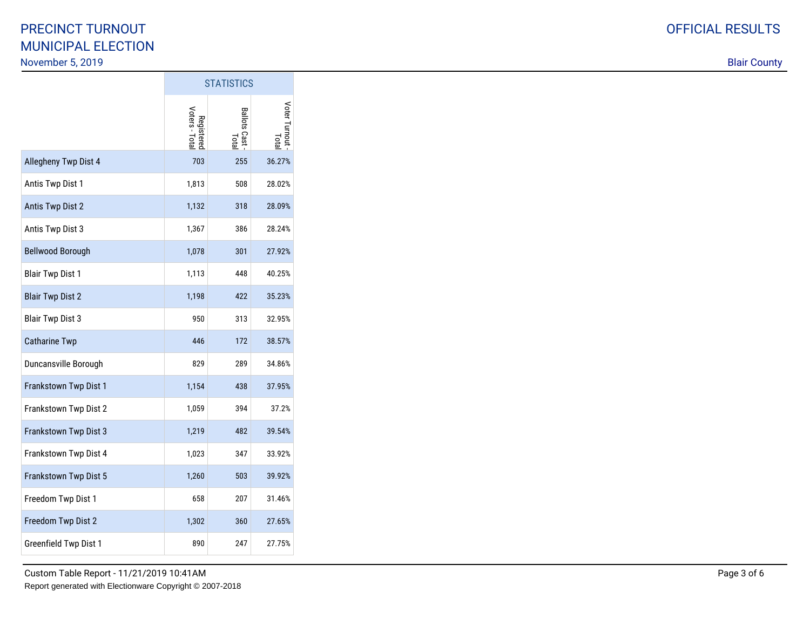|                         | <b>STATISTICS</b>            |                         |                              |
|-------------------------|------------------------------|-------------------------|------------------------------|
|                         | Registered<br>Voters - Total | Ballots Cast -<br>Total | Voter Turnout<br><b>Lota</b> |
| Allegheny Twp Dist 4    | 703                          | 255                     | 36.27%                       |
| Antis Twp Dist 1        | 1,813                        | 508                     | 28.02%                       |
| <b>Antis Twp Dist 2</b> | 1,132                        | 318                     | 28.09%                       |
| Antis Twp Dist 3        | 1,367                        | 386                     | 28.24%                       |
| <b>Bellwood Borough</b> | 1,078                        | 301                     | 27.92%                       |
| <b>Blair Twp Dist 1</b> | 1,113                        | 448                     | 40.25%                       |
| <b>Blair Twp Dist 2</b> | 1,198                        | 422                     | 35.23%                       |
| <b>Blair Twp Dist 3</b> | 950                          | 313                     | 32.95%                       |
| <b>Catharine Twp</b>    | 446                          | 172                     | 38.57%                       |
| Duncansville Borough    | 829                          | 289                     | 34.86%                       |
| Frankstown Twp Dist 1   | 1,154                        | 438                     | 37.95%                       |
| Frankstown Twp Dist 2   | 1,059                        | 394                     | 37.2%                        |
| Frankstown Twp Dist 3   | 1,219                        | 482                     | 39.54%                       |
| Frankstown Twp Dist 4   | 1,023                        | 347                     | 33.92%                       |
| Frankstown Twp Dist 5   | 1,260                        | 503                     | 39.92%                       |
| Freedom Twp Dist 1      | 658                          | 207                     | 31.46%                       |
| Freedom Twp Dist 2      | 1,302                        | 360                     | 27.65%                       |
| Greenfield Twp Dist 1   | 890                          | 247                     | 27.75%                       |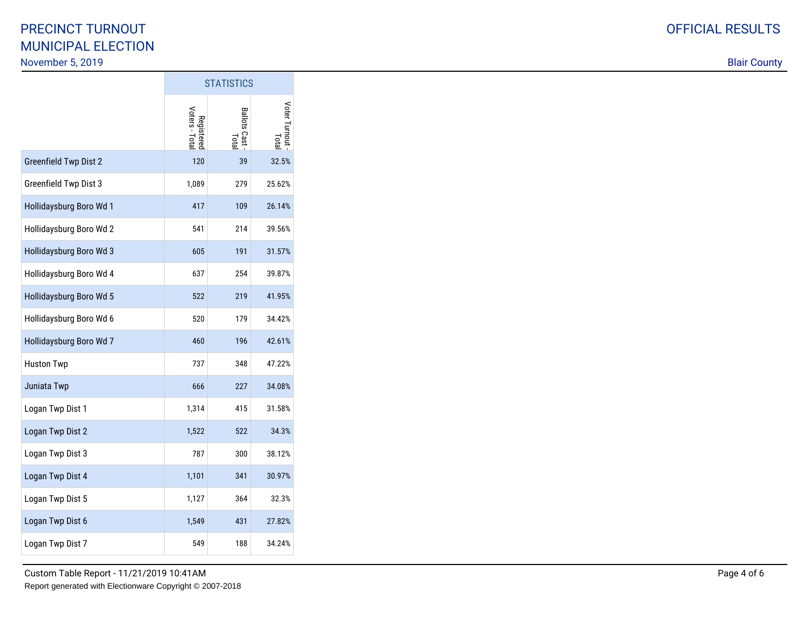|                              | <b>STATISTICS</b>            |                             |                       |
|------------------------------|------------------------------|-----------------------------|-----------------------|
|                              | Registered<br>Voters - Total | <b>Ballots Cast</b><br>Tota | Voter Turnout<br>Tota |
| <b>Greenfield Twp Dist 2</b> | 120                          | 39                          | 32.5%                 |
| Greenfield Twp Dist 3        | 1,089                        | 279                         | 25.62%                |
| Hollidaysburg Boro Wd 1      | 417                          | 109                         | 26.14%                |
| Hollidaysburg Boro Wd 2      | 541                          | 214                         | 39.56%                |
| Hollidaysburg Boro Wd 3      | 605                          | 191                         | 31.57%                |
| Hollidaysburg Boro Wd 4      | 637                          | 254                         | 39.87%                |
| Hollidaysburg Boro Wd 5      | 522                          | 219                         | 41.95%                |
| Hollidaysburg Boro Wd 6      | 520                          | 179                         | 34.42%                |
| Hollidaysburg Boro Wd 7      | 460                          | 196                         | 42.61%                |
| <b>Huston Twp</b>            | 737                          | 348                         | 47.22%                |
| Juniata Twp                  | 666                          | 227                         | 34.08%                |
| Logan Twp Dist 1             | 1,314                        | 415                         | 31.58%                |
| Logan Twp Dist 2             | 1,522                        | 522                         | 34.3%                 |
| Logan Twp Dist 3             | 787                          | 300                         | 38.12%                |
| Logan Twp Dist 4             | 1,101                        | 341                         | 30.97%                |
| Logan Twp Dist 5             | 1,127                        | 364                         | 32.3%                 |
| Logan Twp Dist 6             | 1,549                        | 431                         | 27.82%                |
| Logan Twp Dist 7             | 549                          | 188                         | 34.24%                |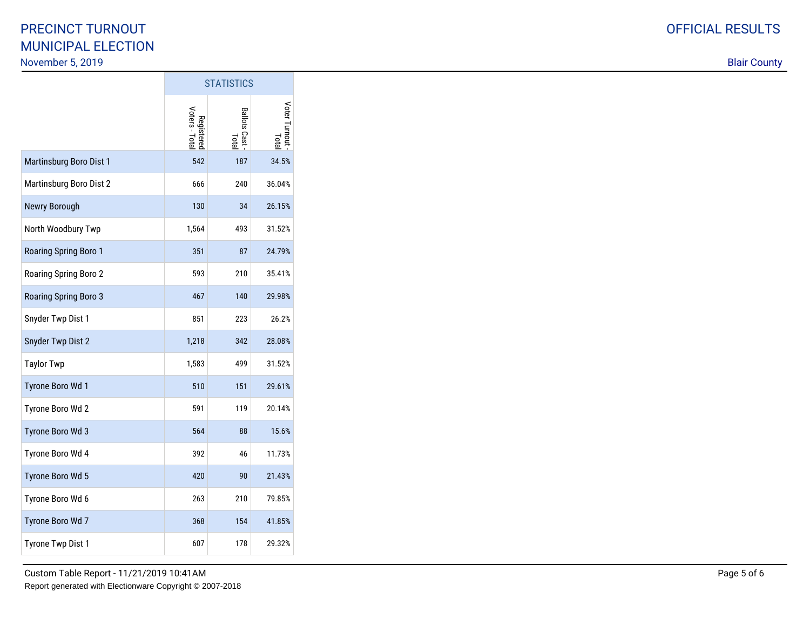|                              | <b>STATISTICS</b>            |                       |                              |
|------------------------------|------------------------------|-----------------------|------------------------------|
|                              | Registered<br>Voters - Total | Ballots Cast<br>Total | Voter Turnout<br><b>Lota</b> |
| Martinsburg Boro Dist 1      | 542                          | 187                   | 34.5%                        |
| Martinsburg Boro Dist 2      | 666                          | 240                   | 36.04%                       |
| Newry Borough                | 130                          | 34                    | 26.15%                       |
| North Woodbury Twp           | 1,564                        | 493                   | 31.52%                       |
| Roaring Spring Boro 1        | 351                          | 87                    | 24.79%                       |
| Roaring Spring Boro 2        | 593                          | 210                   | 35.41%                       |
| <b>Roaring Spring Boro 3</b> | 467                          | 140                   | 29.98%                       |
| Snyder Twp Dist 1            | 851                          | 223                   | 26.2%                        |
| Snyder Twp Dist 2            | 1,218                        | 342                   | 28.08%                       |
| <b>Taylor Twp</b>            | 1,583                        | 499                   | 31.52%                       |
| Tyrone Boro Wd 1             | 510                          | 151                   | 29.61%                       |
| Tyrone Boro Wd 2             | 591                          | 119                   | 20.14%                       |
| Tyrone Boro Wd 3             | 564                          | 88                    | 15.6%                        |
| Tyrone Boro Wd 4             | 392                          | 46                    | 11.73%                       |
| Tyrone Boro Wd 5             | 420                          | 90                    | 21.43%                       |
| Tyrone Boro Wd 6             | 263                          | 210                   | 79.85%                       |
| Tyrone Boro Wd 7             | 368                          | 154                   | 41.85%                       |
| Tyrone Twp Dist 1            | 607                          | 178                   | 29.32%                       |